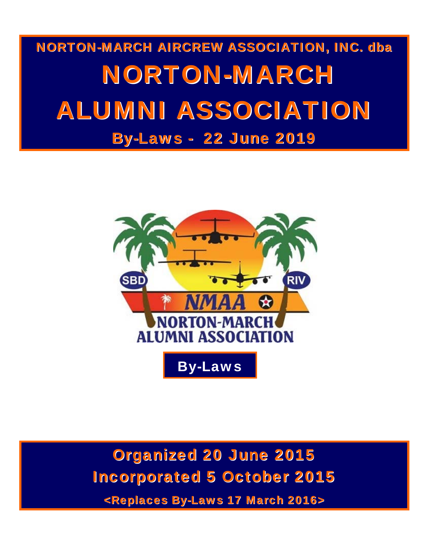# NORTON-MARCH AIRCREW ASSOCIATION, INC. dba NORTON-MARCH ALUMNI ASSOCIATION By-Laws - 22 June 2019



Organized 20 June 2015 Incorporated 5 October 2015

<Replaces By-Laws 17 March 2016>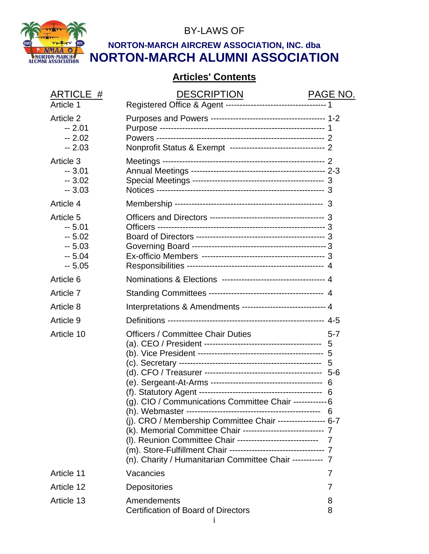

BY-LAWS OF

# **NORTON-MARCH AIRCREW ASSOCIATION, INC. dba NORTON-MARCH ALUMNI ASSOCIATION**

# **Articles' Contents**

| ARTICLE #                                                        | <b>DESCRIPTION</b>                                                                                                                                                                                                                                                                                                                                                                                                                     | PAGE NO.     |
|------------------------------------------------------------------|----------------------------------------------------------------------------------------------------------------------------------------------------------------------------------------------------------------------------------------------------------------------------------------------------------------------------------------------------------------------------------------------------------------------------------------|--------------|
| Article 1                                                        |                                                                                                                                                                                                                                                                                                                                                                                                                                        |              |
| <b>Article 2</b><br>$-2.01$<br>$-2.02$<br>$-2.03$                | Nonprofit Status & Exempt ---------------------------------- 2                                                                                                                                                                                                                                                                                                                                                                         |              |
| Article 3<br>$-3.01$<br>$-3.02$<br>$-3.03$                       |                                                                                                                                                                                                                                                                                                                                                                                                                                        |              |
| Article 4                                                        |                                                                                                                                                                                                                                                                                                                                                                                                                                        |              |
| Article 5<br>$-5.01$<br>$-5.02$<br>$-5.03$<br>$-5.04$<br>$-5.05$ |                                                                                                                                                                                                                                                                                                                                                                                                                                        |              |
| Article 6                                                        |                                                                                                                                                                                                                                                                                                                                                                                                                                        |              |
| Article 7                                                        |                                                                                                                                                                                                                                                                                                                                                                                                                                        |              |
| Article 8                                                        | Interpretations & Amendments ----------------------------- 4                                                                                                                                                                                                                                                                                                                                                                           |              |
| Article 9                                                        |                                                                                                                                                                                                                                                                                                                                                                                                                                        |              |
| Article 10                                                       | <b>Officers / Committee Chair Duties</b><br>(g). CIO / Communications Committee Chair ------------ 6<br>(j). CRO / Membership Committee Chair ----------------- 6-7<br>(k). Memorial Committee Chair ----------------------------- 7<br>(I). Reunion Committee Chair ----------------------------- 7<br>(m). Store-Fulfillment Chair ---------------------------------- 7<br>(n). Charity / Humanitarian Committee Chair ----------- 7 | $5 - 7$<br>5 |
| Article 11                                                       | Vacancies                                                                                                                                                                                                                                                                                                                                                                                                                              | 7            |
| Article 12                                                       | Depositories                                                                                                                                                                                                                                                                                                                                                                                                                           | 7            |
| Article 13                                                       | Amendements<br>Certification of Board of Directors                                                                                                                                                                                                                                                                                                                                                                                     | 8<br>8       |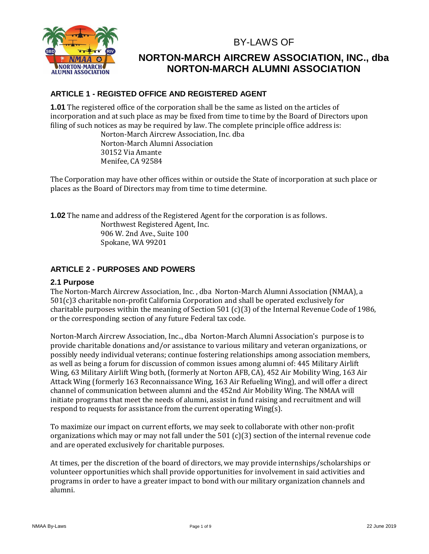BY-LAWS OF



# **NORTON-MARCH AIRCREW ASSOCIATION, INC., dba NORTON-MARCH ALUMNI ASSOCIATION**

# **ARTICLE 1 - REGISTED OFFICE AND REGISTERED AGENT**

**1.01** The registered office of the corporation shall be the same as listed on the articles of incorporation and at such place as may be fixed from time to time by the Board of Directors upon filing of such notices as may be required by law. The complete principle office address is:

Norton-March Aircrew Association, Inc. dba Norton-March Alumni Association 30152 Via Amante Menifee, CA 92584

The Corporation may have other offices within or outside the State of incorporation at such place or places as the Board of Directors may from time to time determine.

**1.02** The name and address of the Registered Agent for the corporation is as follows.

Northwest Registered Agent, Inc. 906 W. 2nd Ave., Suite 100 Spokane, WA 99201

# **ARTICLE 2 - PURPOSES AND POWERS**

# **2.1 Purpose**

The Norton-March Aircrew Association, Inc. , dba Norton-March Alumni Association (NMAA), a 501(c)3 charitable non-profit California Corporation and shall be operated exclusively for charitable purposes within the meaning of Section 501 (c)(3) of the Internal Revenue Code of 1986, or the corresponding section of any future Federal tax code.

Norton-March Aircrew Association, Inc.., dba Norton-March Alumni Association's purpose is to provide charitable donations and/or assistance to various military and veteran organizations, or possibly needy individual veterans; continue fostering relationships among association members, as well as being a forum for discussion of common issues among alumni of: 445 Military Airlift Wing, 63 Military Airlift Wing both, (formerly at Norton AFB, CA), 452 Air Mobility Wing, 163 Air Attack Wing (formerly 163 Reconnaissance Wing, 163 Air Refueling Wing), and will offer a direct channel of communication between alumni and the 452nd Air Mobility Wing. The NMAA will initiate programs that meet the needs of alumni, assist in fund raising and recruitment and will respond to requests for assistance from the current operating Wing(s).

To maximize our impact on current efforts, we may seek to collaborate with other non-profit organizations which may or may not fall under the 501 (c)(3) section of the internal revenue code and are operated exclusively for charitable purposes.

At times, per the discretion of the board of directors, we may provide internships/scholarships or volunteer opportunities which shall provide opportunities for involvement in said activities and programs in order to have a greater impact to bond with our military organization channels and alumni.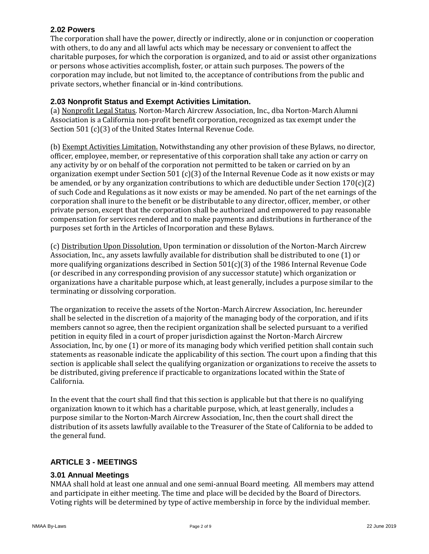#### **2.02 Powers**

The corporation shall have the power, directly or indirectly, alone or in conjunction or cooperation with others, to do any and all lawful acts which may be necessary or convenient to affect the charitable purposes, for which the corporation is organized, and to aid or assist other organizations or persons whose activities accomplish, foster, or attain such purposes. The powers of the corporation may include, but not limited to, the acceptance of contributions from the public and private sectors, whether financial or in-kind contributions.

#### **2.03 Nonprofit Status and Exempt Activities Limitation.**

(a) Nonprofit Legal Status. Norton-March Aircrew Association, Inc., dba Norton-March Alumni Association is a California non-profit benefit corporation, recognized as tax exempt under the Section 501 (c)(3) of the United States Internal Revenue Code.

(b) Exempt Activities Limitation. Notwithstanding any other provision of these Bylaws, no director, officer, employee, member, or representative of this corporation shall take any action or carry on any activity by or on behalf of the corporation not permitted to be taken or carried on by an organization exempt under Section 501 (c)(3) of the Internal Revenue Code as it now exists or may be amended, or by any organization contributions to which are deductible under Section  $170(c)(2)$ of such Code and Regulations as it now exists or may be amended. No part of the net earnings of the corporation shall inure to the benefit or be distributable to any director, officer, member, or other private person, except that the corporation shall be authorized and empowered to pay reasonable compensation for services rendered and to make payments and distributions in furtherance of the purposes set forth in the Articles of Incorporation and these Bylaws.

(c) Distribution Upon Dissolution. Upon termination or dissolution of the Norton-March Aircrew Association, Inc., any assets lawfully available for distribution shall be distributed to one (1) or more qualifying organizations described in Section  $501(c)(3)$  of the 1986 Internal Revenue Code (or described in any corresponding provision of any successor statute) which organization or organizations have a charitable purpose which, at least generally, includes a purpose similar to the terminating or dissolving corporation.

The organization to receive the assets of the Norton-March Aircrew Association, Inc. hereunder shall be selected in the discretion of a majority of the managing body of the corporation, and if its members cannot so agree, then the recipient organization shall be selected pursuant to a verified petition in equity filed in a court of proper jurisdiction against the Norton-March Aircrew Association, Inc, by one (1) or more of its managing body which verified petition shall contain such statements as reasonable indicate the applicability of this section. The court upon a finding that this section is applicable shall select the qualifying organization or organizations to receive the assets to be distributed, giving preference if practicable to organizations located within the State of California.

In the event that the court shall find that this section is applicable but that there is no qualifying organization known to it which has a charitable purpose, which, at least generally, includes a purpose similar to the Norton-March Aircrew Association, Inc, then the court shall direct the distribution of its assets lawfully available to the Treasurer of the State of California to be added to the general fund.

# **ARTICLE 3 - MEETINGS**

#### **3.01 Annual Meetings**

NMAA shall hold at least one annual and one semi-annual Board meeting. All members may attend and participate in either meeting. The time and place will be decided by the Board of Directors. Voting rights will be determined by type of active membership in force by the individual member.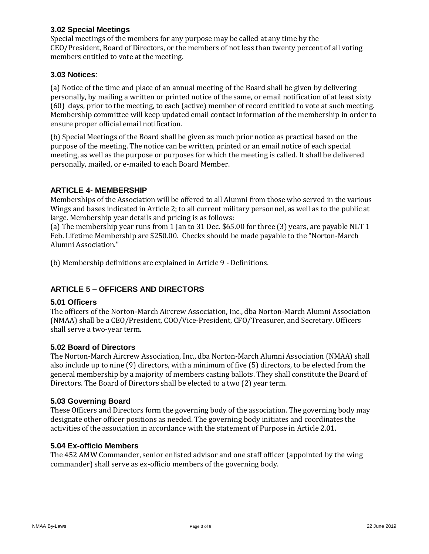#### **3.02 Special Meetings**

Special meetings of the members for any purpose may be called at any time by the CEO/President, Board of Directors, or the members of not less than twenty percent of all voting members entitled to vote at the meeting.

#### **3.03 Notices**:

(a) Notice of the time and place of an annual meeting of the Board shall be given by delivering personally, by mailing a written or printed notice of the same, or email notification of at least sixty (60) days, prior to the meeting, to each (active) member of record entitled to vote at such meeting. Membership committee will keep updated email contact information of the membership in order to ensure proper official email notification.

(b) Special Meetings of the Board shall be given as much prior notice as practical based on the purpose of the meeting. The notice can be written, printed or an email notice of each special meeting, as well as the purpose or purposes for which the meeting is called. It shall be delivered personally, mailed, or e-mailed to each Board Member.

# **ARTICLE 4- MEMBERSHIP**

Memberships of the Association will be offered to all Alumni from those who served in the various Wings and bases indicated in Article 2; to all current military personnel, as well as to the public at large. Membership year details and pricing is as follows:

(a) The membership year runs from 1 Jan to 31 Dec. \$65.00 for three (3) years, are payable NLT 1 Feb. Lifetime Membership are \$250.00. Checks should be made payable to the "Norton-March Alumni Association."

(b) Membership definitions are explained in Article 9 - Definitions.

# **ARTICLE 5 – OFFICERS AND DIRECTORS**

#### **5.01 Officers**

The officers of the Norton-March Aircrew Association, Inc., dba Norton-March Alumni Association (NMAA) shall be a CEO/President, COO/Vice-President, CFO/Treasurer, and Secretary. Officers shall serve a two-year term.

#### **5.02 Board of Directors**

The Norton-March Aircrew Association, Inc., dba Norton-March Alumni Association (NMAA) shall also include up to nine (9) directors, with a minimum of five (5) directors, to be elected from the general membership by a majority of members casting ballots. They shall constitute the Board of Directors. The Board of Directors shall be elected to a two (2) year term.

#### **5.03 Governing Board**

These Officers and Directors form the governing body of the association. The governing body may designate other officer positions as needed. The governing body initiates and coordinates the activities of the association in accordance with the statement of Purpose in Article 2.01.

#### **5.04 Ex-officio Members**

The 452 AMW Commander, senior enlisted advisor and one staff officer (appointed by the wing commander) shall serve as ex-officio members of the governing body.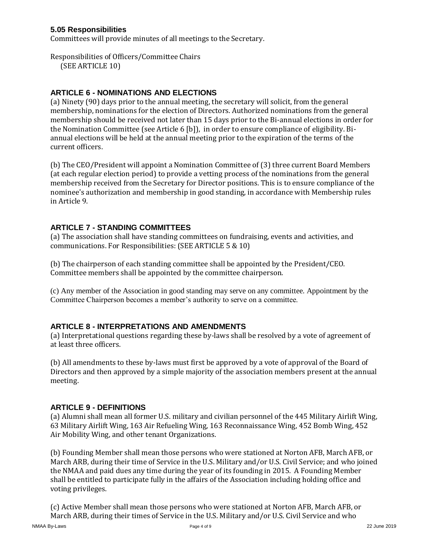#### **5.05 Responsibilities**

Committees will provide minutes of all meetings to the Secretary.

Responsibilities of Officers/Committee Chairs

(SEE ARTICLE 10)

# **ARTICLE 6 - NOMINATIONS AND ELECTIONS**

(a) Ninety (90) days prior to the annual meeting, the secretary will solicit, from the general membership, nominations for the election of Directors. Authorized nominations from the general membership should be received not later than 15 days prior to the Bi-annual elections in order for the Nomination Committee (see Article 6 [b]), in order to ensure compliance of eligibility. Biannual elections will be held at the annual meeting prior to the expiration of the terms of the current officers.

(b) The CEO/President will appoint a Nomination Committee of (3) three current Board Members (at each regular election period) to provide a vetting process of the nominations from the general membership received from the Secretary for Director positions. This is to ensure compliance of the nominee's authorization and membership in good standing, in accordance with Membership rules in Article 9.

# **ARTICLE 7 - STANDING COMMITTEES**

(a) The association shall have standing committees on fundraising, events and activities, and communications. For Responsibilities: (SEE ARTICLE 5 & 10)

(b) The chairperson of each standing committee shall be appointed by the President/CEO. Committee members shall be appointed by the committee chairperson.

(c) Any member of the Association in good standing may serve on any committee. Appointment by the Committee Chairperson becomes a member's authority to serve on a committee.

# **ARTICLE 8 - INTERPRETATIONS AND AMENDMENTS**

(a) Interpretational questions regarding these by-laws shall be resolved by a vote of agreement of at least three officers.

(b) All amendments to these by-laws must first be approved by a vote of approval of the Board of Directors and then approved by a simple majority of the association members present at the annual meeting.

# **ARTICLE 9 - DEFINITIONS**

(a) Alumni shall mean all former U.S. military and civilian personnel of the 445 Military Airlift Wing, 63 Military Airlift Wing, 163 Air Refueling Wing, 163 Reconnaissance Wing, 452 Bomb Wing, 452 Air Mobility Wing, and other tenant Organizations.

(b) Founding Member shall mean those persons who were stationed at Norton AFB, March AFB, or March ARB, during their time of Service in the U.S. Military and/or U.S. Civil Service; and who joined the NMAA and paid dues any time during the year of its founding in 2015. A Founding Member shall be entitled to participate fully in the affairs of the Association including holding office and voting privileges.

(c) Active Member shall mean those persons who were stationed at Norton AFB, March AFB, or March ARB, during their times of Service in the U.S. Military and/or U.S. Civil Service and who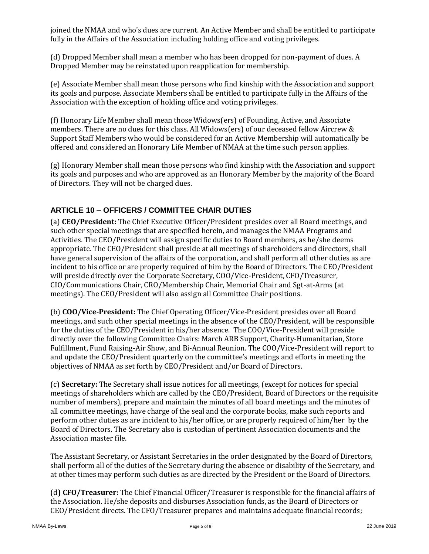joined the NMAA and who's dues are current. An Active Member and shall be entitled to participate fully in the Affairs of the Association including holding office and voting privileges.

(d) Dropped Member shall mean a member who has been dropped for non-payment of dues. A Dropped Member may be reinstated upon reapplication for membership.

(e) Associate Member shall mean those persons who find kinship with the Association and support its goals and purpose. Associate Members shall be entitled to participate fully in the Affairs of the Association with the exception of holding office and voting privileges.

(f) Honorary Life Member shall mean those Widows(ers) of Founding, Active, and Associate members. There are no dues for this class. All Widows(ers) of our deceased fellow Aircrew & Support Staff Members who would be considered for an Active Membership will automatically be offered and considered an Honorary Life Member of NMAA at the time such person applies.

(g) Honorary Member shall mean those persons who find kinship with the Association and support its goals and purposes and who are approved as an Honorary Member by the majority of the Board of Directors. They will not be charged dues.

# **ARTICLE 10 – OFFICERS / COMMITTEE CHAIR DUTIES**

(a) **CEO/President:** The Chief Executive Officer/President presides over all Board meetings, and such other special meetings that are specified herein, and manages the NMAA Programs and Activities. The CEO/President will assign specific duties to Board members, as he/she deems appropriate. The CEO/President shall preside at all meetings of shareholders and directors, shall have general supervision of the affairs of the corporation, and shall perform all other duties as are incident to his office or are properly required of him by the Board of Directors. The CEO/President will preside directly over the Corporate Secretary, COO/Vice-President, CFO/Treasurer, CIO/Communications Chair, CRO/Membership Chair, Memorial Chair and Sgt-at-Arms (at meetings). The CEO/President will also assign all Committee Chair positions.

(b) **COO/Vice-President:** The Chief Operating Officer/Vice-President presides over all Board meetings, and such other special meetings in the absence of the CEO/President, will be responsible for the duties of the CEO/President in his/her absence. The COO/Vice-President will preside directly over the following Committee Chairs: March ARB Support, Charity-Humanitarian, Store Fulfillment, Fund Raising-Air Show, and Bi-Annual Reunion. The COO/Vice-President will report to and update the CEO/President quarterly on the committee's meetings and efforts in meeting the objectives of NMAA as set forth by CEO/President and/or Board of Directors.

(c) **Secretary:** The Secretary shall issue notices for all meetings, (except for notices for special meetings of shareholders which are called by the CEO/President, Board of Directors or the requisite number of members), prepare and maintain the minutes of all board meetings and the minutes of all committee meetings, have charge of the seal and the corporate books, make such reports and perform other duties as are incident to his/her office, or are properly required of him/her by the Board of Directors. The Secretary also is custodian of pertinent Association documents and the Association master file.

The Assistant Secretary, or Assistant Secretaries in the order designated by the Board of Directors, shall perform all of the duties of the Secretary during the absence or disability of the Secretary, and at other times may perform such duties as are directed by the President or the Board of Directors.

(d**) CFO/Treasurer:** The Chief Financial Officer/Treasurer is responsible for the financial affairs of the Association. He/she deposits and disburses Association funds, as the Board of Directors or CEO/President directs. The CFO/Treasurer prepares and maintains adequate financial records;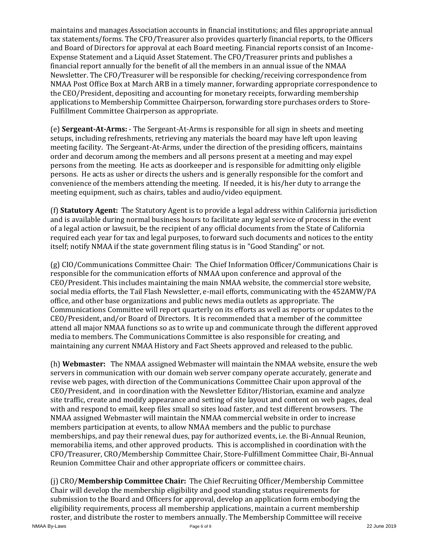maintains and manages Association accounts in financial institutions; and files appropriate annual tax statements/forms. The CFO/Treasurer also provides quarterly financial reports, to the Officers and Board of Directors for approval at each Board meeting. Financial reports consist of an Income-Expense Statement and a Liquid Asset Statement. The CFO/Treasurer prints and publishes a financial report annually for the benefit of all the members in an annual issue of the NMAA Newsletter. The CFO/Treasurer will be responsible for checking/receiving correspondence from NMAA Post Office Box at March ARB in a timely manner, forwarding appropriate correspondence to the CEO/President, depositing and accounting for monetary receipts, forwarding membership applications to Membership Committee Chairperson, forwarding store purchases orders to Store-Fulfillment Committee Chairperson as appropriate.

(e) **Sergeant-At-Arms:** - The Sergeant-At-Arms is responsible for all sign in sheets and meeting setups, including refreshments, retrieving any materials the board may have left upon leaving meeting facility. The Sergeant-At-Arms, under the direction of the presiding officers, maintains order and decorum among the members and all persons present at a meeting and may expel persons from the meeting. He acts as doorkeeper and is responsible for admitting only eligible persons. He acts as usher or directs the ushers and is generally responsible for the comfort and convenience of the members attending the meeting. If needed, it is his/her duty to arrange the meeting equipment, such as chairs, tables and audio/video equipment.

(f) **Statutory Agent:** The Statutory Agent is to provide a legal address within California jurisdiction and is available during normal business hours to facilitate any legal service of process in the event of a legal action or lawsuit, be the recipient of any official documents from the State of California required each year for tax and legal purposes, to forward such documents and notices to the entity itself; notify NMAA if the state government filing status is in "Good Standing" or not.

(g) CIO/Communications Committee Chair: The Chief Information Officer/Communications Chair is responsible for the communication efforts of NMAA upon conference and approval of the CEO/President. This includes maintaining the main NMAA website, the commercial store website, social media efforts, the Tail Flash Newsletter, e-mail efforts, communicating with the 452AMW/PA office, and other base organizations and public news media outlets as appropriate. The Communications Committee will report quarterly on its efforts as well as reports or updates to the CEO/President, and/or Board of Directors. It is recommended that a member of the committee attend all major NMAA functions so as to write up and communicate through the different approved media to members. The Communications Committee is also responsible for creating, and maintaining any current NMAA History and Fact Sheets approved and released to the public.

(h) **Webmaster:** The NMAA assigned Webmaster will maintain the NMAA website, ensure the web servers in communication with our domain web server company operate accurately, generate and revise web pages, with direction of the Communications Committee Chair upon approval of the CEO/President, and in coordination with the Newsletter Editor/Historian, examine and analyze site traffic, create and modify appearance and setting of site layout and content on web pages, deal with and respond to email, keep files small so sites load faster, and test different browsers. The NMAA assigned Webmaster will maintain the NMAA commercial website in order to increase members participation at events, to allow NMAA members and the public to purchase memberships, and pay their renewal dues, pay for authorized events, i.e. the Bi-Annual Reunion, memorabilia items, and other approved products. This is accomplished in coordination with the CFO/Treasurer, CRO/Membership Committee Chair, Store-Fulfillment Committee Chair, Bi-Annual Reunion Committee Chair and other appropriate officers or committee chairs.

(j) CRO/**Membership Committee Chair:** The Chief Recruiting Officer/Membership Committee Chair will develop the membership eligibility and good standing status requirements for submission to the Board and Officers for approval, develop an application form embodying the eligibility requirements, process all membership applications, maintain a current membership roster, and distribute the roster to members annually. The Membership Committee will receive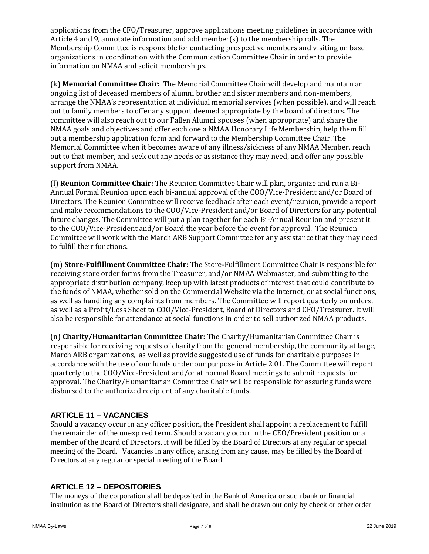applications from the CFO/Treasurer, approve applications meeting guidelines in accordance with Article 4 and 9, annotate information and add member(s) to the membership rolls. The Membership Committee is responsible for contacting prospective members and visiting on base organizations in coordination with the Communication Committee Chair in order to provide information on NMAA and solicit memberships.

(k**) Memorial Committee Chair:** The Memorial Committee Chair will develop and maintain an ongoing list of deceased members of alumni brother and sister members and non-members, arrange the NMAA's representation at individual memorial services (when possible), and will reach out to family members to offer any support deemed appropriate by the board of directors. The committee will also reach out to our Fallen Alumni spouses (when appropriate) and share the NMAA goals and objectives and offer each one a NMAA Honorary Life Membership, help them fill out a membership application form and forward to the Membership Committee Chair. The Memorial Committee when it becomes aware of any illness/sickness of any NMAA Member, reach out to that member, and seek out any needs or assistance they may need, and offer any possible support from NMAA.

(l) **Reunion Committee Chair:** The Reunion Committee Chair will plan, organize and run a Bi-Annual Formal Reunion upon each bi-annual approval of the COO/Vice-President and/or Board of Directors. The Reunion Committee will receive feedback after each event/reunion, provide a report and make recommendations to the COO/Vice-President and/or Board of Directors for any potential future changes. The Committee will put a plan together for each Bi-Annual Reunion and present it to the COO/Vice-President and/or Board the year before the event for approval. The Reunion Committee will work with the March ARB Support Committee for any assistance that they may need to fulfill their functions.

(m) **Store-Fulfillment Committee Chair:** The Store-Fulfillment Committee Chair is responsible for receiving store order forms from the Treasurer, and/or NMAA Webmaster, and submitting to the appropriate distribution company, keep up with latest products of interest that could contribute to the funds of NMAA, whether sold on the Commercial Website via the Internet, or at social functions, as well as handling any complaints from members. The Committee will report quarterly on orders, as well as a Profit/Loss Sheet to COO/Vice-President, Board of Directors and CFO/Treasurer. It will also be responsible for attendance at social functions in order to sell authorized NMAA products.

(n) **Charity/Humanitarian Committee Chair:** The Charity/Humanitarian Committee Chair is responsible for receiving requests of charity from the general membership, the community at large, March ARB organizations, as well as provide suggested use of funds for charitable purposes in accordance with the use of our funds under our purpose in Article 2.01. The Committee will report quarterly to the COO/Vice-President and/or at normal Board meetings to submit requests for approval. The Charity/Humanitarian Committee Chair will be responsible for assuring funds were disbursed to the authorized recipient of any charitable funds.

# **ARTICLE 11 – VACANCIES**

Should a vacancy occur in any officer position, the President shall appoint a replacement to fulfill the remainder of the unexpired term. Should a vacancy occur in the CEO/President position or a member of the Board of Directors, it will be filled by the Board of Directors at any regular or special meeting of the Board. Vacancies in any office, arising from any cause, may be filled by the Board of Directors at any regular or special meeting of the Board.

# **ARTICLE 12 – DEPOSITORIES**

The moneys of the corporation shall be deposited in the Bank of America or such bank or financial institution as the Board of Directors shall designate, and shall be drawn out only by check or other order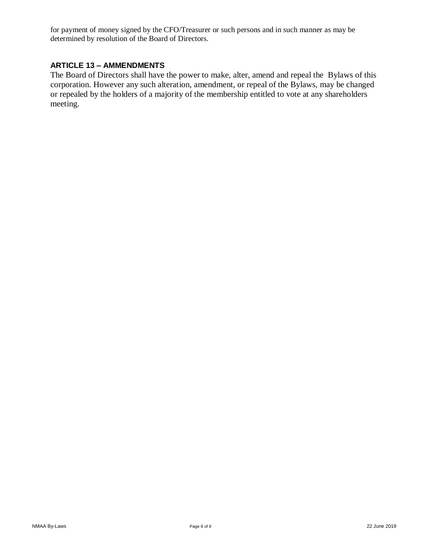for payment of money signed by the CFO/Treasurer or such persons and in such manner as may be determined by resolution of the Board of Directors.

# **ARTICLE 13 – AMMENDMENTS**

The Board of Directors shall have the power to make, alter, amend and repeal the Bylaws of this corporation. However any such alteration, amendment, or repeal of the Bylaws, may be changed or repealed by the holders of a majority of the membership entitled to vote at any shareholders meeting.